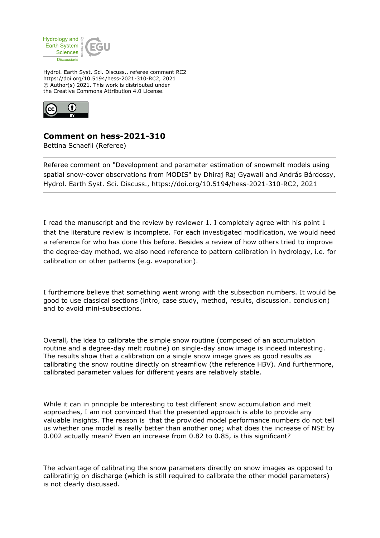

Hydrol. Earth Syst. Sci. Discuss., referee comment RC2 https://doi.org/10.5194/hess-2021-310-RC2, 2021 © Author(s) 2021. This work is distributed under the Creative Commons Attribution 4.0 License.



## **Comment on hess-2021-310**

Bettina Schaefli (Referee)

Referee comment on "Development and parameter estimation of snowmelt models using spatial snow-cover observations from MODIS" by Dhiraj Raj Gyawali and András Bárdossy, Hydrol. Earth Syst. Sci. Discuss., https://doi.org/10.5194/hess-2021-310-RC2, 2021

I read the manuscript and the review by reviewer 1. I completely agree with his point 1 that the literature review is incomplete. For each investigated modification, we would need a reference for who has done this before. Besides a review of how others tried to improve the degree-day method, we also need reference to pattern calibration in hydrology, i.e. for calibration on other patterns (e.g. evaporation).

I furthemore believe that something went wrong with the subsection numbers. It would be good to use classical sections (intro, case study, method, results, discussion. conclusion) and to avoid mini-subsections.

Overall, the idea to calibrate the simple snow routine (composed of an accumulation routine and a degree-day melt routine) on single-day snow image is indeed interesting. The results show that a calibration on a single snow image gives as good results as calibrating the snow routine directly on streamflow (the reference HBV). And furthermore, calibrated parameter values for different years are relatively stable.

While it can in principle be interesting to test different snow accumulation and melt approaches, I am not convinced that the presented approach is able to provide any valuable insights. The reason is that the provided model performance numbers do not tell us whether one model is really better than another one; what does the increase of NSE by 0.002 actually mean? Even an increase from 0.82 to 0.85, is this significant?

The advantage of calibrating the snow parameters directly on snow images as opposed to calibratinjg on discharge (which is still required to calibrate the other model parameters) is not clearly discussed.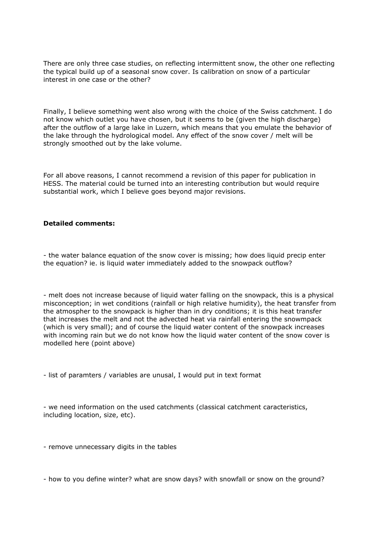There are only three case studies, on reflecting intermittent snow, the other one reflecting the typical build up of a seasonal snow cover. Is calibration on snow of a particular interest in one case or the other?

Finally, I believe something went also wrong with the choice of the Swiss catchment. I do not know which outlet you have chosen, but it seems to be (given the high discharge) after the outflow of a large lake in Luzern, which means that you emulate the behavior of the lake through the hydrological model. Any effect of the snow cover / melt will be strongly smoothed out by the lake volume.

For all above reasons, I cannot recommend a revision of this paper for publication in HESS. The material could be turned into an interesting contribution but would require substantial work, which I believe goes beyond major revisions.

## **Detailed comments:**

- the water balance equation of the snow cover is missing; how does liquid precip enter the equation? ie. is liquid water immediately added to the snowpack outflow?

- melt does not increase because of liquid water falling on the snowpack, this is a physical misconception; in wet conditions (rainfall or high relative humidity), the heat transfer from the atmospher to the snowpack is higher than in dry conditions; it is this heat transfer that increases the melt and not the advected heat via rainfall entering the snowmpack (which is very small); and of course the liquid water content of the snowpack increases with incoming rain but we do not know how the liquid water content of the snow cover is modelled here (point above)

- list of paramters / variables are unusal, I would put in text format

- we need information on the used catchments (classical catchment caracteristics, including location, size, etc).

- remove unnecessary digits in the tables

- how to you define winter? what are snow days? with snowfall or snow on the ground?